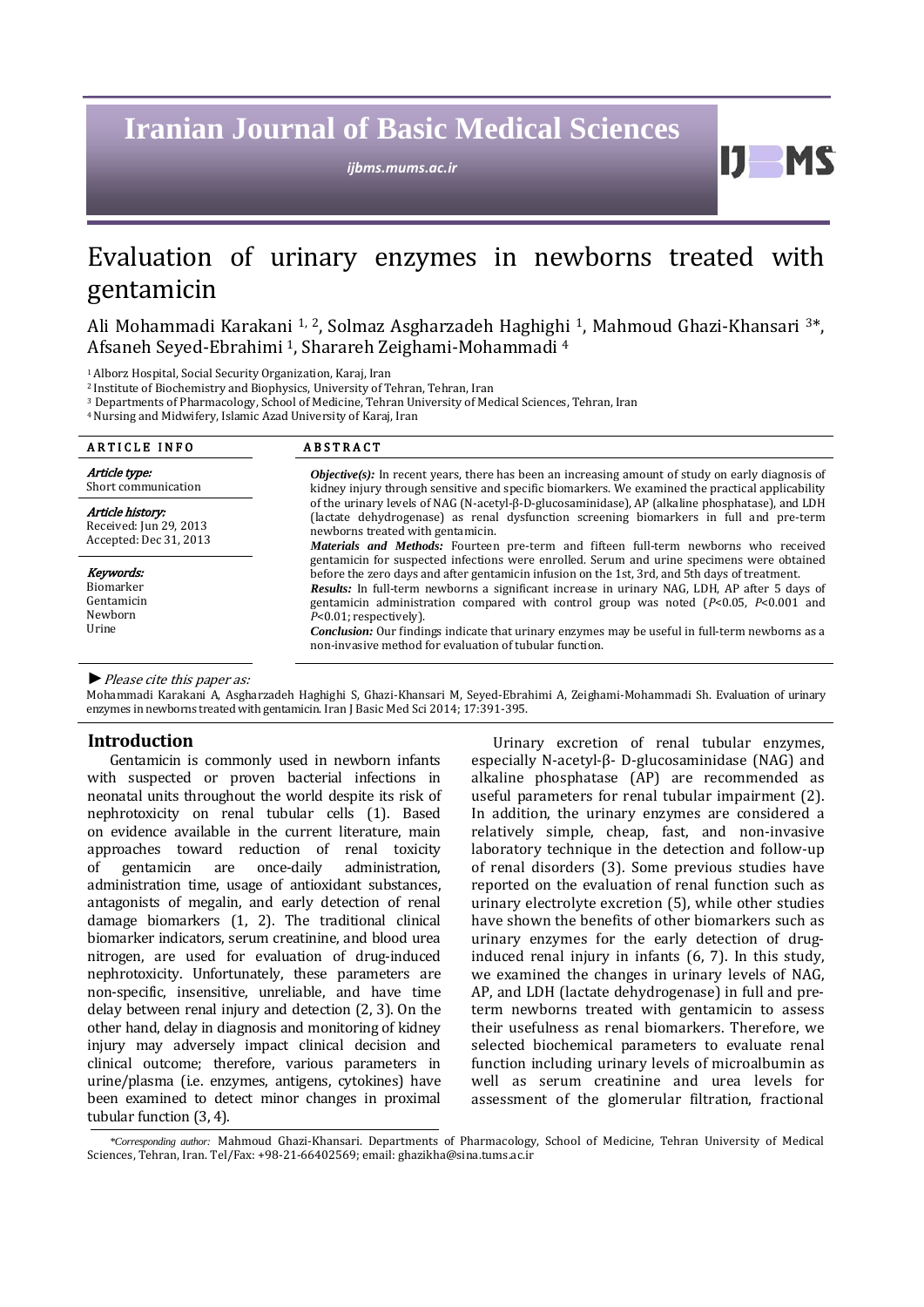# **Iranian Journal of Basic Medical Sciences**

*ijbms.mums.ac.ir*

 $\mathbf{D}$ 

## Evaluation of urinary enzymes in newborns treated with gentamicin

Ali Mohammadi Karakani 1, 2, Solmaz Asgharzadeh Haghighi 1, Mahmoud Ghazi-Khansari 3\*, Afsaneh Seyed-Ebrahimi 1, Sharareh Zeighami-Mohammadi <sup>4</sup>

1 Alborz Hospital, Social Security Organization, Karaj, Iran

2 Institute of Biochemistry and Biophysics, University of Tehran, Tehran, Iran

<sup>3</sup> Departments of Pharmacology, School of Medicine, Tehran University of Medical Sciences, Tehran, Iran

4 Nursing and Midwifery, Islamic Azad University of Karaj, Iran

| <b>ARTICLE INFO</b>                                                  | <b>ABSTRACT</b><br><b><i>Objective(s)</i></b> : In recent years, there has been an increasing amount of study on early diagnosis of<br>kidney injury through sensitive and specific biomarkers. We examined the practical applicability<br>of the urinary levels of NAG (N-acetyl- $\beta$ -D-glucosaminidase), AP (alkaline phosphatase), and LDH<br>(lactate dehydrogenase) as renal dysfunction screening biomarkers in full and pre-term<br>newborns treated with gentamicin.<br><b>Materials and Methods:</b> Fourteen pre-term and fifteen full-term newborns who received          |  |  |  |
|----------------------------------------------------------------------|-------------------------------------------------------------------------------------------------------------------------------------------------------------------------------------------------------------------------------------------------------------------------------------------------------------------------------------------------------------------------------------------------------------------------------------------------------------------------------------------------------------------------------------------------------------------------------------------|--|--|--|
| Article type:<br>Short communication                                 |                                                                                                                                                                                                                                                                                                                                                                                                                                                                                                                                                                                           |  |  |  |
| Article history:<br>Received: Jun 29, 2013<br>Accepted: Dec 31, 2013 |                                                                                                                                                                                                                                                                                                                                                                                                                                                                                                                                                                                           |  |  |  |
| Keywords:<br>Biomarker<br>Gentamicin<br>Newborn<br>Urine             | gentamicin for suspected infections were enrolled. Serum and urine specimens were obtained<br>before the zero days and after gentamicin infusion on the 1st, 3rd, and 5th days of treatment.<br>Results: In full-term newborns a significant increase in urinary NAG, LDH, AP after 5 days of<br>gentamicin administration compared with control group was noted $(P<0.05, P<0.001$ and<br>$P<0.01$ ; respectively).<br><b>Conclusion:</b> Our findings indicate that urinary enzymes may be useful in full-term newborns as a<br>non-invasive method for evaluation of tubular function. |  |  |  |

*►*Please cite this paper as:

Mohammadi Karakani A, Asgharzadeh Haghighi S, Ghazi-Khansari M, Seyed-Ebrahimi A, Zeighami-Mohammadi Sh. Evaluation of urinary enzymes in newborns treated with gentamicin. Iran J Basic Med Sci 2014; 17:391-395.

## **Introduction**

Gentamicin is commonly used in newborn infants with suspected or proven bacterial infections in neonatal units throughout the world despite its risk of nephrotoxicity on renal tubular cells (1). Based on evidence available in the current literature, main approaches toward reduction of renal toxicity<br>of gentamicin are once-daily administration. of gentamicin are once-daily administration, administration time, usage of antioxidant substances, antagonists of megalin, and early detection of renal damage biomarkers (1, 2). The traditional clinical biomarker indicators, serum creatinine, and blood urea nitrogen, are used for evaluation of drug-induced nephrotoxicity. Unfortunately, these parameters are non-specific, insensitive, unreliable, and have time delay between renal injury and detection (2, 3). On the other hand, delay in diagnosis and monitoring of kidney injury may adversely impact clinical decision and clinical outcome; therefore, various parameters in urine/plasma (i.e. enzymes, antigens, cytokines) have been examined to detect minor changes in proximal tubular function (3, 4).

Urinary excretion of renal tubular enzymes, especially N-acetyl-β- D-glucosaminidase (NAG) and alkaline phosphatase (AP) are recommended as useful parameters for renal tubular impairment (2). In addition, the urinary enzymes are considered a relatively simple, cheap, fast, and non-invasive laboratory technique in the detection and follow-up of renal disorders (3). Some previous studies have reported on the evaluation of renal function such as urinary electrolyte excretion (5), while other studies have shown the benefits of other biomarkers such as urinary enzymes for the early detection of druginduced renal injury in infants (6, 7). In this study, we examined the changes in urinary levels of NAG, AP, and LDH (lactate dehydrogenase) in full and preterm newborns treated with gentamicin to assess their usefulness as renal biomarkers. Therefore, we selected biochemical parameters to evaluate renal function including urinary levels of microalbumin as well as serum creatinine and urea levels for assessment of the glomerular filtration, fractional

*<sup>\*</sup>Corresponding author:* Mahmoud Ghazi-Khansari. Departments of Pharmacology, School of Medicine, Tehran University of Medical Sciences, Tehran, Iran. Tel/Fax: +98-21-66402569; email[: ghazikha@sina.tums.ac.ir](mailto:ghazikha@sina.tums.ac.ir)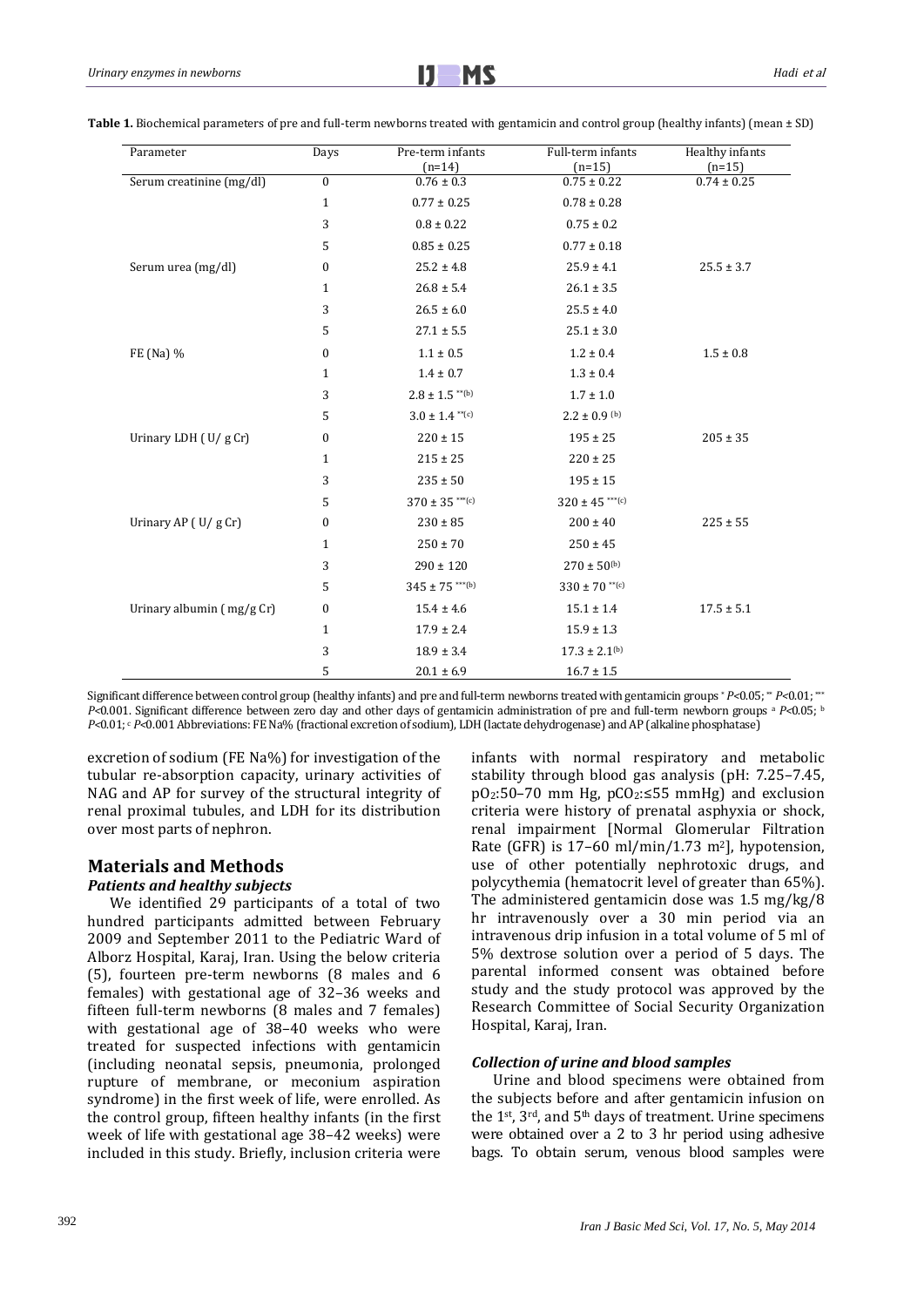| Parameter                 | Days             | Pre-term infants<br>$(n=14)$ | Full-term infants<br>$(n=15)$ | Healthy infants<br>$(n=15)$ |
|---------------------------|------------------|------------------------------|-------------------------------|-----------------------------|
| Serum creatinine (mg/dl)  | $\mathbf{0}$     | $0.76 \pm 0.3$               | $0.75 \pm 0.22$               | $0.74 \pm 0.25$             |
|                           | $\mathbf{1}$     | $0.77 \pm 0.25$              | $0.78 \pm 0.28$               |                             |
|                           | 3                | $0.8 \pm 0.22$               | $0.75 \pm 0.2$                |                             |
|                           | 5                | $0.85 \pm 0.25$              | $0.77 \pm 0.18$               |                             |
| Serum urea (mg/dl)        | 0                | $25.2 \pm 4.8$               | $25.9 \pm 4.1$                | $25.5 \pm 3.7$              |
|                           | $\mathbf{1}$     | $26.8 \pm 5.4$               | $26.1 \pm 3.5$                |                             |
|                           | 3                | $26.5 \pm 6.0$               | $25.5 \pm 4.0$                |                             |
|                           | 5                | $27.1 \pm 5.5$               | $25.1 \pm 3.0$                |                             |
| FE (Na) %                 | $\boldsymbol{0}$ | $1.1 \pm 0.5$                | $1.2 \pm 0.4$                 | $1.5 \pm 0.8$               |
|                           | $\mathbf{1}$     | $1.4 \pm 0.7$                | $1.3 \pm 0.4$                 |                             |
|                           | 3                | $2.8 \pm 1.5$ **(b)          | $1.7 \pm 1.0$                 |                             |
|                           | 5                | $3.0 \pm 1.4$ **(c)          | $2.2 \pm 0.9$ (b)             |                             |
| Urinary LDH (U/gCr)       | $\boldsymbol{0}$ | $220 \pm 15$                 | $195 \pm 25$                  | $205 \pm 35$                |
|                           | 1                | $215 \pm 25$                 | $220 \pm 25$                  |                             |
|                           | 3                | $235 \pm 50$                 | $195 \pm 15$                  |                             |
|                           | 5                | $370 \pm 35$ ***(c)          | $320 \pm 45$ ***(c)           |                             |
| Urinary AP (U/g Cr)       | $\mathbf{0}$     | $230 \pm 85$                 | $200 \pm 40$                  | $225 \pm 55$                |
|                           | $\mathbf{1}$     | $250 \pm 70$                 | $250 \pm 45$                  |                             |
|                           | 3                | $290 \pm 120$                | $270\pm50^{\text{(b)}}$       |                             |
|                           | 5                | $345 \pm 75$ ***(b)          | $330 \pm 70$ **(c)            |                             |
| Urinary albumin (mg/g Cr) | $\boldsymbol{0}$ | $15.4 \pm 4.6$               | $15.1 \pm 1.4$                | $17.5 \pm 5.1$              |
|                           | $\mathbf{1}$     | $17.9 \pm 2.4$               | $15.9 \pm 1.3$                |                             |
|                           | 3                | $18.9 \pm 3.4$               | $17.3 \pm 2.1^{(b)}$          |                             |
|                           | 5                | $20.1 \pm 6.9$               | $16.7 \pm 1.5$                |                             |

**Table 1.** Biochemical parameters of pre and full-term newborns treated with gentamicin and control group (healthy infants) (mean ± SD)

Significant difference between control group (healthy infants) and pre and full-term newborns treated with gentamicin groups \* *P<*0.05; \*\* *P<*0.01; \*\*\* *P<*0.001. Significant difference between zero day and other days of gentamicin administration of pre and full-term newborn groups a *P<*0.05; b *P*<0.01; c *P<*0.001 Abbreviations: FE Na% (fractional excretion of sodium), LDH (lactate dehydrogenase) and AP (alkaline phosphatase)

excretion of sodium (FE Na%) for investigation of the tubular re-absorption capacity, urinary activities of NAG and AP for survey of the structural integrity of renal proximal tubules, and LDH for its distribution over most parts of nephron.

## **Materials and Methods** *Patients and healthy subjects*

We identified 29 participants of a total of two hundred participants admitted between February 2009 and September 2011 to the Pediatric Ward of Alborz Hospital, Karaj, Iran. Using the below criteria (5), fourteen pre-term newborns (8 males and 6 females) with gestational age of 32–36 weeks and fifteen full-term newborns (8 males and 7 females) with gestational age of 38–40 weeks who were treated for suspected infections with gentamicin (including neonatal sepsis, pneumonia, prolonged rupture of membrane, or meconium aspiration syndrome) in the first week of life, were enrolled. As the control group, fifteen healthy infants (in the first week of life with gestational age 38–42 weeks) were included in this study. Briefly, inclusion criteria were infants with normal respiratory and metabolic stability through blood gas analysis (pH: 7.25–7.45,  $pO_2:50-70$  mm Hg,  $pCO_2:555$  mmHg) and exclusion criteria were history of prenatal asphyxia or shock, renal impairment [Normal Glomerular Filtration Rate (GFR) is  $17-60$  ml/min/1.73 m<sup>2</sup>], hypotension, use of other potentially nephrotoxic drugs, and polycythemia (hematocrit level of greater than 65%). The administered gentamicin dose was 1.5 mg/kg/8 hr intravenously over a 30 min period via an intravenous drip infusion in a total volume of 5 ml of 5% dextrose solution over a period of 5 days. The parental informed consent was obtained before study and the study protocol was approved by the Research Committee of Social Security Organization Hospital, Karaj, Iran.

## *Collection of urine and blood samples*

Urine and blood specimens were obtained from the subjects before and after gentamicin infusion on the 1st, 3rd, and 5th days of treatment. Urine specimens were obtained over a 2 to 3 hr period using adhesive bags. To obtain serum, venous blood samples were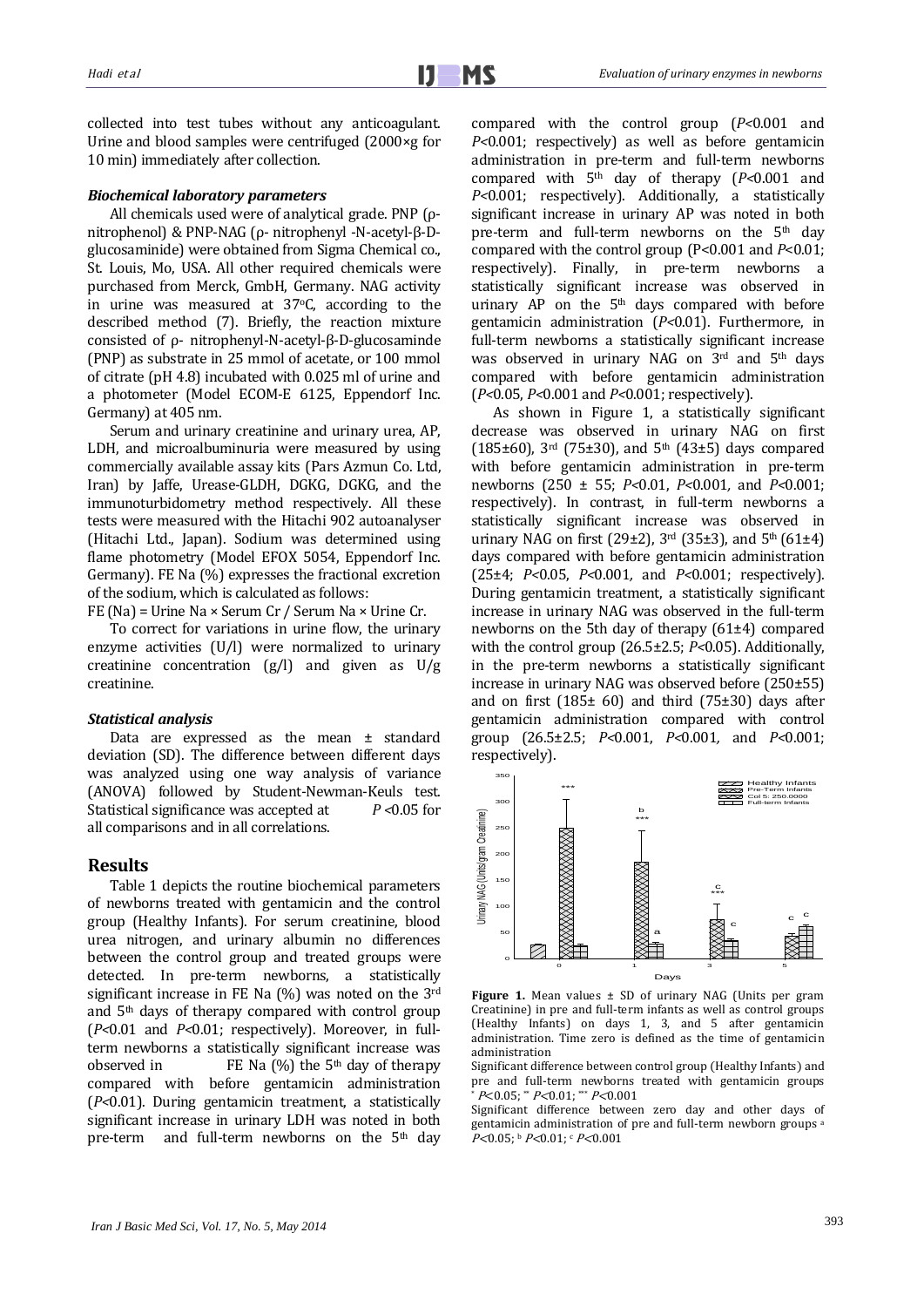collected into test tubes without any anticoagulant. Urine and blood samples were centrifuged (2000×g for 10 min) immediately after collection.

## *Biochemical laboratory parameters*

All chemicals used were of analytical grade. PNP (ρnitrophenol) & PNP-NAG (ρ- nitrophenyl -N-acetyl-β-Dglucosaminide) were obtained from Sigma Chemical co., St. Louis, Mo, USA. All other required chemicals were purchased from Merck, GmbH, Germany. NAG activity in urine was measured at 37°C, according to the described method (7). Briefly, the reaction mixture consisted of ρ- nitrophenyl-N-acetyl-β-D-glucosaminde (PNP) as substrate in 25 mmol of acetate, or 100 mmol of citrate (pH 4.8) incubated with 0.025 ml of urine and a photometer (Model ECOM-E 6125, Eppendorf Inc. Germany) at 405 nm.

Serum and urinary creatinine and urinary urea, AP, LDH, and microalbuminuria were measured by using commercially available assay kits (Pars Azmun Co. Ltd, Iran) by Jaffe, Urease-GLDH, DGKG, DGKG, and the immunoturbidometry method respectively. All these tests were measured with the Hitachi 902 autoanalyser (Hitachi Ltd., Japan). Sodium was determined using flame photometry (Model EFOX 5054, Eppendorf Inc. Germany). FE Na (%) expresses the fractional excretion of the sodium, which is calculated as follows:

FE (Na) = Urine Na × Serum Cr / Serum Na × Urine Cr.

To correct for variations in urine flow, the urinary enzyme activities (U/l) were normalized to urinary creatinine concentration  $(g/l)$  and given as  $U/g$ creatinine.

#### *Statistical analysis*

Data are expressed as the mean ± standard deviation (SD). The difference between different days was analyzed using one way analysis of variance (ANOVA) followed by Student-Newman-Keuls test.<br>Statistical significance was accepted at  $P < 0.05$  for Statistical significance was accepted at all comparisons and in all correlations.

#### **Results**

Table 1 depicts the routine biochemical parameters of newborns treated with gentamicin and the control group (Healthy Infants). For serum creatinine, blood urea nitrogen, and urinary albumin no differences between the control group and treated groups were detected. In pre-term newborns, a statistically significant increase in FE Na (%) was noted on the 3rd and 5th days of therapy compared with control group (*P<*0.01 and *P<*0.01; respectively). Moreover, in fullterm newborns a statistically significant increase was observed in FE Na  $\frac{6}{6}$  the 5<sup>th</sup> day of therapy FE Na  $(\%)$  the 5<sup>th</sup> day of therapy compared with before gentamicin administration (*P<*0.01). During gentamicin treatment, a statistically significant increase in urinary LDH was noted in both pre-term and full-term newborns on the 5<sup>th</sup> day compared with the control group (*P<*0.001 and *P<*0.001; respectively) as well as before gentamicin administration in pre-term and full-term newborns compared with 5th day of therapy (*P<*0.001 and *P<*0.001; respectively). Additionally, a statistically significant increase in urinary AP was noted in both pre-term and full-term newborns on the 5<sup>th</sup> day compared with the control group (P<0.001 and *P*<0.01; respectively). Finally, in pre-term newborns a statistically significant increase was observed in urinary  $AP$  on the  $5<sup>th</sup>$  days compared with before gentamicin administration (*P<*0.01). Furthermore, in full-term newborns a statistically significant increase was observed in urinary NAG on 3rd and 5th days compared with before gentamicin administration (*P<*0.05, *P<*0.001 and *P<*0.001; respectively).

As shown in Figure 1, a statistically significant decrease was observed in urinary NAG on first (185±60), 3<sup>rd</sup> (75±30), and 5<sup>th</sup> (43±5) days compared with before gentamicin administration in pre-term newborns (250 ± 55; *P<*0.01, *P<*0.001*,* and *P<*0.001; respectively). In contrast, in full-term newborns a statistically significant increase was observed in urinary NAG on first (29±2),  $3<sup>rd</sup>$  (35±3), and  $5<sup>th</sup>$  (61±4) days compared with before gentamicin administration (25±4; *P<*0.05, *P<*0.001*,* and *P<*0.001; respectively). During gentamicin treatment, a statistically significant increase in urinary NAG was observed in the full-term newborns on the 5th day of therapy (61±4) compared with the control group (26.5±2.5; *P<*0.05). Additionally, in the pre-term newborns a statistically significant increase in urinary NAG was observed before (250±55) and on first  $(185±60)$  and third  $(75±30)$  days after gentamicin administration compared with control group (26.5±2.5; *P<*0.001, *P<*0.001*,* and *P<*0.001; respectively).



**Figure 1.** Mean values ± SD of urinary NAG (Units per gram Creatinine) in pre and full-term infants as well as control groups (Healthy Infants) on days 1, 3, and 5 after gentamicin administration. Time zero is defined as the time of gentamicin administration

Significant difference between control group (Healthy Infants) and pre and full-term newborns treated with gentamicin groups  $* P < 0.05$ ;  $* P < 0.01$ ;  $* P < 0.001$ 

Significant difference between zero day and other days of gentamicin administration of pre and full-term newborn groups a P<0.05; b P<0.01; c P<0.001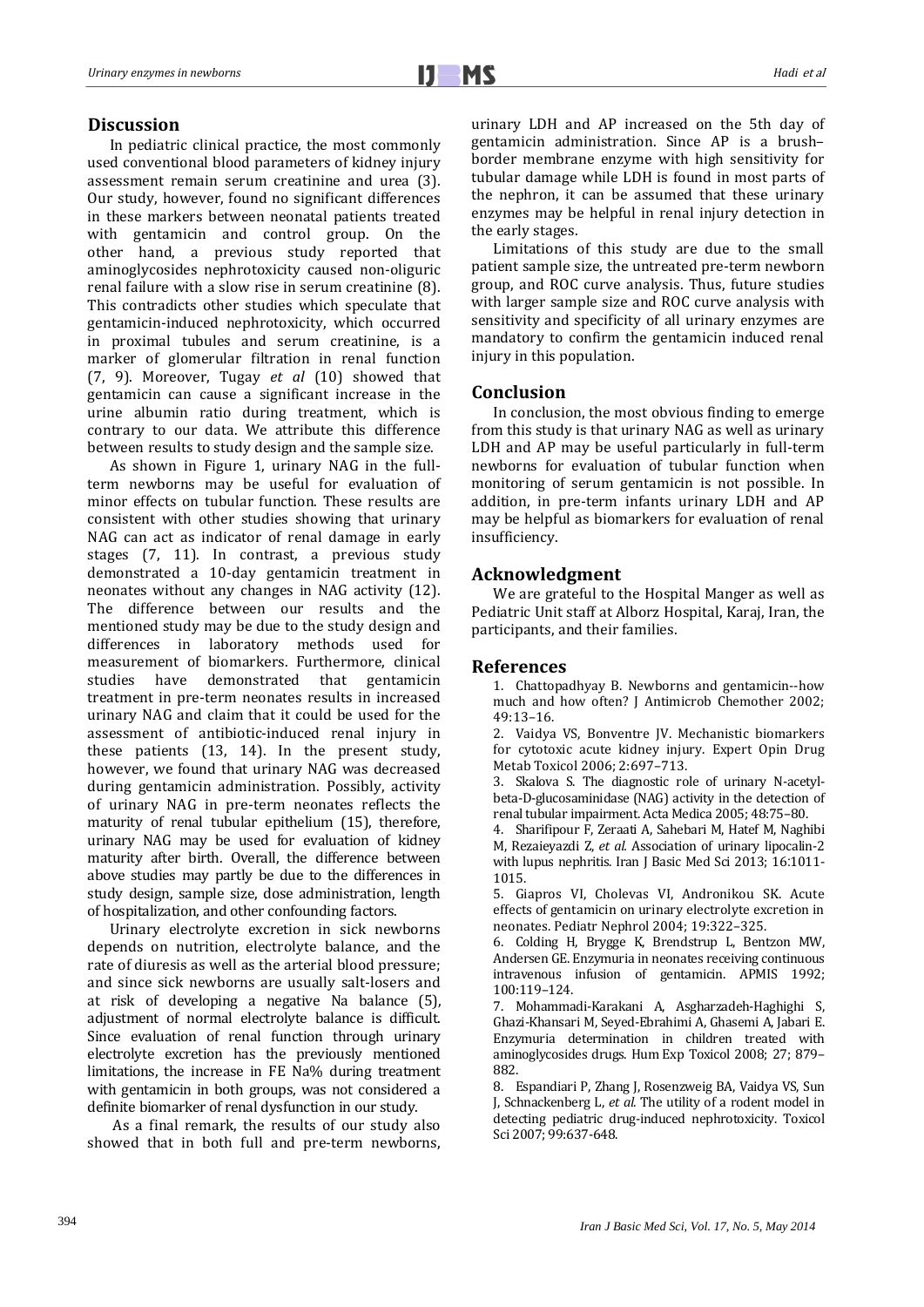## **Discussion**

In pediatric clinical practice, the most commonly used conventional blood parameters of kidney injury assessment remain serum creatinine and urea (3). Our study, however, found no significant differences in these markers between neonatal patients treated<br>with gentamicin and control group. On the gentamicin and control group. On the other hand, a previous study reported that aminoglycosides nephrotoxicity caused non-oliguric renal failure with a slow rise in serum creatinine (8). This contradicts other studies which speculate that gentamicin-induced nephrotoxicity, which occurred in proximal tubules and serum creatinine, is a marker of glomerular filtration in renal function (7, 9). Moreover, Tugay *et al* (10) showed that gentamicin can cause a significant increase in the urine albumin ratio during treatment, which is contrary to our data. We attribute this difference between results to study design and the sample size.

As shown in Figure 1, urinary NAG in the fullterm newborns may be useful for evaluation of minor effects on tubular function. These results are consistent with other studies showing that urinary NAG can act as indicator of renal damage in early stages (7, 11). In contrast, a previous study demonstrated a 10-day gentamicin treatment in neonates without any changes in NAG activity (12). The difference between our results and the mentioned study may be due to the study design and differences in laboratory methods used for measurement of biomarkers. Furthermore, clinical<br>studies have demonstrated that gentamicin demonstrated treatment in pre-term neonates results in increased urinary NAG and claim that it could be used for the assessment of antibiotic-induced renal injury in these patients (13, 14). In the present study, however, we found that urinary NAG was decreased during gentamicin administration. Possibly, activity of urinary NAG in pre-term neonates reflects the maturity of renal tubular epithelium (15), therefore, urinary NAG may be used for evaluation of kidney maturity after birth. Overall, the difference between above studies may partly be due to the differences in study design, sample size, dose administration, length of hospitalization, and other confounding factors.

Urinary electrolyte excretion in sick newborns depends on nutrition, electrolyte balance, and the rate of diuresis as well as the arterial blood pressure; and since sick newborns are usually salt-losers and at risk of developing a negative Na balance (5), adjustment of normal electrolyte balance is difficult. Since evaluation of renal function through urinary electrolyte excretion has the previously mentioned limitations, the increase in FE Na% during treatment with gentamicin in both groups, was not considered a definite biomarker of renal dysfunction in our study.

As a final remark, the results of our study also showed that in both full and pre-term newborns, urinary LDH and AP increased on the 5th day of gentamicin administration. Since AP is a brush– border membrane enzyme with high sensitivity for tubular damage while LDH is found in most parts of the nephron, it can be assumed that these urinary enzymes may be helpful in renal injury detection in the early stages.

Limitations of this study are due to the small patient sample size, the untreated pre-term newborn group, and ROC curve analysis. Thus, future studies with larger sample size and ROC curve analysis with sensitivity and specificity of all urinary enzymes are mandatory to confirm the gentamicin induced renal injury in this population.

## **Conclusion**

In conclusion, the most obvious finding to emerge from this study is that urinary NAG as well as urinary LDH and AP may be useful particularly in full-term newborns for evaluation of tubular function when monitoring of serum gentamicin is not possible. In addition, in pre-term infants urinary LDH and AP may be helpful as biomarkers for evaluation of renal insufficiency.

## **Acknowledgment**

We are grateful to the Hospital Manger as well as Pediatric Unit staff at Alborz Hospital, Karaj, Iran, the participants, and their families.

## **References**

1. Chattopadhyay B. Newborns and gentamicin--how much and how often? J Antimicrob Chemother 2002; 49:13–16.

2. Vaidya VS, Bonventre JV. Mechanistic biomarkers for cytotoxic acute kidney injury. Expert Opin Drug Metab Toxicol 2006; 2:697–713.

3. Skalova S. The diagnostic role of urinary N-acetylbeta-D-glucosaminidase (NAG) activity in the detection of renal tubular impairment. Acta Medica 2005; 48:75–80.

4. Sharifipour F, Zeraati A, Sahebari M, Hatef M, Naghibi M, Rezaieyazdi Z, *et al.* Association of urinary lipocalin-2 with lupus nephritis. Iran J Basic Med Sci 2013; 16:1011- 1015.

5. Giapros VI, Cholevas VI, Andronikou SK. Acute effects of gentamicin on urinary electrolyte excretion in neonates. Pediatr Nephrol 2004; 19:322–325.

6. Colding H, Brygge K, Brendstrup L, Bentzon MW, Andersen GE. Enzymuria in neonates receiving continuous intravenous infusion of gentamicin. APMIS 1992; 100:119–124.

7. Mohammadi-Karakani A, Asgharzadeh-Haghighi S, Ghazi-Khansari M, Seyed-Ebrahimi A, Ghasemi A, Jabari E. Enzymuria determination in children treated with aminoglycosides drugs. Hum Exp Toxicol 2008; 27; 879– 882.

8. Espandiari P, Zhang J, Rosenzweig BA, Vaidya VS, Sun J, Schnackenberg L, *et al.* The utility of a rodent model in detecting pediatric drug-induced nephrotoxicity. Toxicol Sci 2007; 99:637-648.